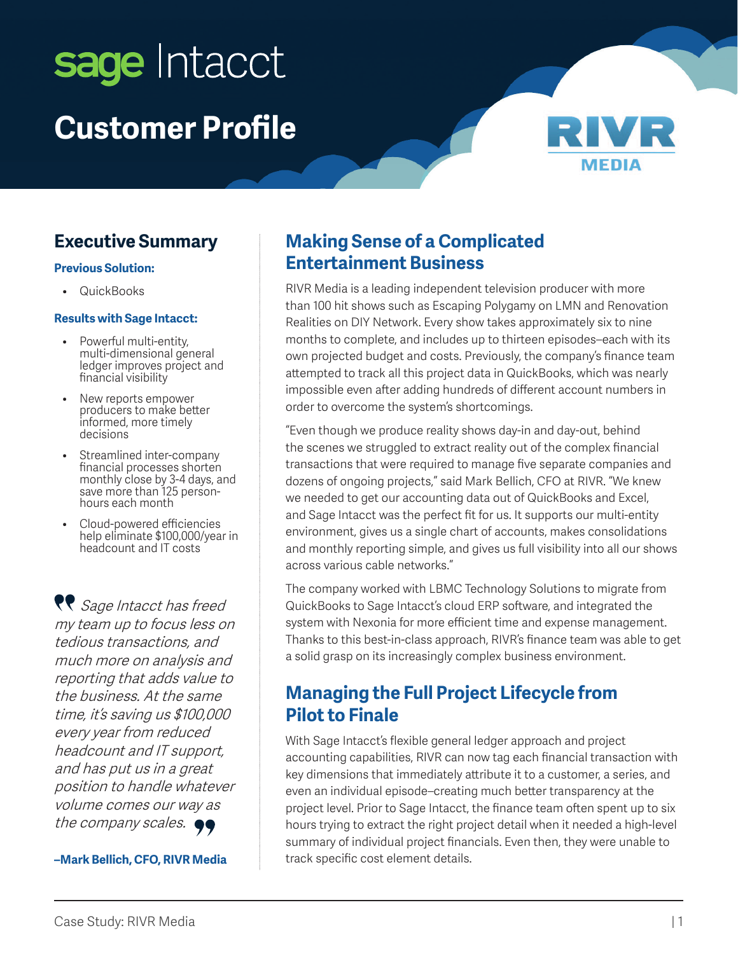# sage Intacct **Customer Profile**



## **Executive Summary**

#### **Previous Solution:**

• QuickBooks

#### **Results with Sage Intacct:**

- Powerful multi-entity, multi-dimensional general ledger improves project and financial visibility
- New reports empower producers to make better informed, more timely decisions
- Streamlined inter-company financial processes shorten monthly close by 3-4 days, and save more than 125 personhours each month
- Cloud-powered efficiencies help eliminate \$100,000/year in headcount and IT costs

**Re** Sage Intacct has freed my team up to focus less on tedious transactions, and much more on analysis and reporting that adds value to the business. At the same time, it's saving us \$100,000 every year from reduced headcount and IT support, and has put us in a great position to handle whatever volume comes our way as the company scales.  $\bullet\bullet$ 

#### **–Mark Bellich, CFO, RIVR Media**

#### **Making Sense of a Complicated Entertainment Business**

RIVR Media is a leading independent television producer with more than 100 hit shows such as Escaping Polygamy on LMN and Renovation Realities on DIY Network. Every show takes approximately six to nine months to complete, and includes up to thirteen episodes–each with its own projected budget and costs. Previously, the company's finance team attempted to track all this project data in QuickBooks, which was nearly impossible even after adding hundreds of different account numbers in order to overcome the system's shortcomings.

"Even though we produce reality shows day-in and day-out, behind the scenes we struggled to extract reality out of the complex financial transactions that were required to manage five separate companies and dozens of ongoing projects," said Mark Bellich, CFO at RIVR. "We knew we needed to get our accounting data out of QuickBooks and Excel, and Sage Intacct was the perfect fit for us. It supports our multi-entity environment, gives us a single chart of accounts, makes consolidations and monthly reporting simple, and gives us full visibility into all our shows across various cable networks."

The company worked with LBMC Technology Solutions to migrate from QuickBooks to Sage Intacct's cloud ERP software, and integrated the system with Nexonia for more efficient time and expense management. Thanks to this best-in-class approach, RIVR's finance team was able to get a solid grasp on its increasingly complex business environment.

#### **Managing the Full Project Lifecycle from Pilot to Finale**

With Sage Intacct's flexible general ledger approach and project accounting capabilities, RIVR can now tag each financial transaction with key dimensions that immediately attribute it to a customer, a series, and even an individual episode–creating much better transparency at the project level. Prior to Sage Intacct, the finance team often spent up to six hours trying to extract the right project detail when it needed a high-level summary of individual project financials. Even then, they were unable to track specific cost element details.